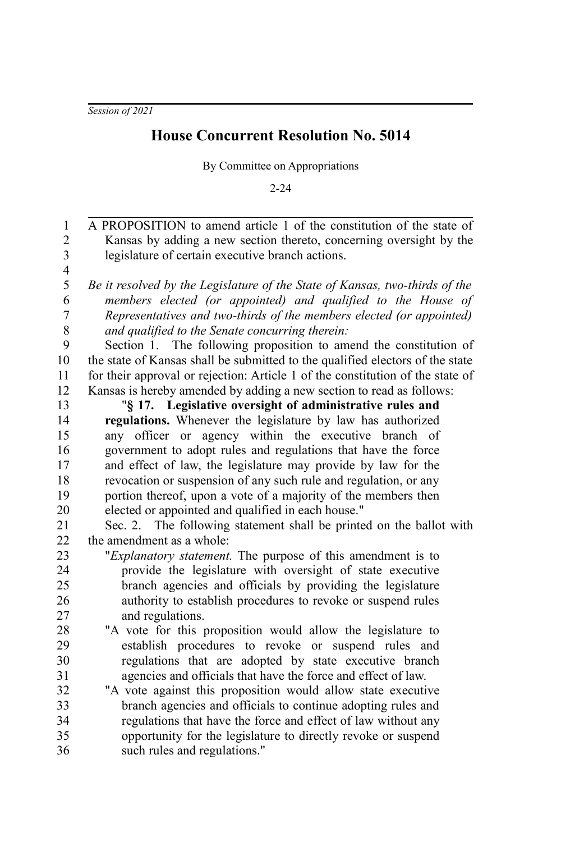*Session of 2021*

## **House Concurrent Resolution No. 5014**

By Committee on Appropriations

2-24

| $\mathbf{1}$            | A PROPOSITION to amend article 1 of the constitution of the state of           |
|-------------------------|--------------------------------------------------------------------------------|
| $\overline{c}$          | Kansas by adding a new section thereto, concerning oversight by the            |
| $\overline{\mathbf{3}}$ | legislature of certain executive branch actions.                               |
| $\overline{\mathbf{4}}$ |                                                                                |
| 5                       | Be it resolved by the Legislature of the State of Kansas, two-thirds of the    |
| 6                       | members elected (or appointed) and qualified to the House of                   |
| 7                       | Representatives and two-thirds of the members elected (or appointed)           |
| 8                       | and qualified to the Senate concurring therein:                                |
| 9                       | Section 1. The following proposition to amend the constitution of              |
| 10                      | the state of Kansas shall be submitted to the qualified electors of the state  |
| 11                      | for their approval or rejection: Article 1 of the constitution of the state of |
| 12                      | Kansas is hereby amended by adding a new section to read as follows:           |
| 13                      | "§ 17. Legislative oversight of administrative rules and                       |
| 14                      | regulations. Whenever the legislature by law has authorized                    |
| 15                      | any officer or agency within the executive branch of                           |
| 16                      | government to adopt rules and regulations that have the force                  |
| 17                      | and effect of law, the legislature may provide by law for the                  |
| 18                      | revocation or suspension of any such rule and regulation, or any               |
| 19                      | portion thereof, upon a vote of a majority of the members then                 |
| 20                      | elected or appointed and qualified in each house."                             |
| 21                      | Sec. 2. The following statement shall be printed on the ballot with            |
| 22                      | the amendment as a whole:                                                      |
| 23                      | "Explanatory statement. The purpose of this amendment is to                    |
| 24                      | provide the legislature with oversight of state executive                      |
| 25                      | branch agencies and officials by providing the legislature                     |
| 26                      | authority to establish procedures to revoke or suspend rules                   |
| 27                      | and regulations.                                                               |
| 28                      | "A vote for this proposition would allow the legislature to                    |
| 29                      | establish procedures to revoke or suspend rules and                            |
| 30                      | regulations that are adopted by state executive branch                         |
| 31                      | agencies and officials that have the force and effect of law.                  |
| 32                      | "A vote against this proposition would allow state executive                   |
| 33                      | branch agencies and officials to continue adopting rules and                   |
| 34                      | regulations that have the force and effect of law without any                  |
| 35                      | opportunity for the legislature to directly revoke or suspend                  |
| 36                      | such rules and regulations."                                                   |